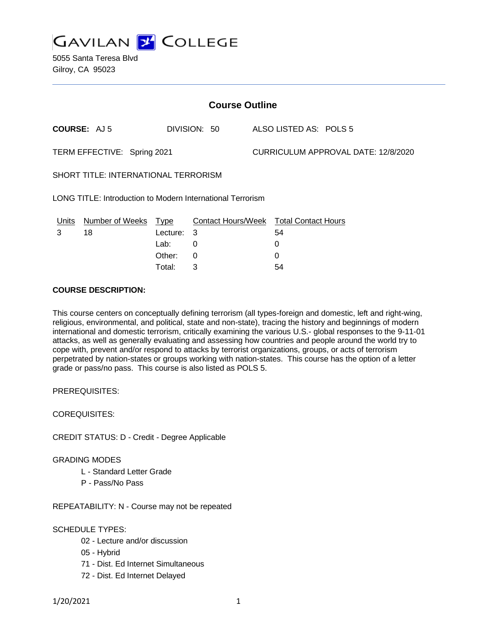

| <b>Course Outline</b>                                      |                      |          |              |                                     |                                        |
|------------------------------------------------------------|----------------------|----------|--------------|-------------------------------------|----------------------------------------|
|                                                            | <b>COURSE: AJ5</b>   |          | DIVISION: 50 |                                     | ALSO LISTED AS: POLS 5                 |
| TERM EFFECTIVE: Spring 2021                                |                      |          |              | CURRICULUM APPROVAL DATE: 12/8/2020 |                                        |
| <b>SHORT TITLE: INTERNATIONAL TERRORISM</b>                |                      |          |              |                                     |                                        |
| LONG TITLE: Introduction to Modern International Terrorism |                      |          |              |                                     |                                        |
| <u>Units</u>                                               | Number of Weeks Type |          |              |                                     | Contact Hours/Week Total Contact Hours |
| 3                                                          | 18                   | Lecture: | 3            |                                     | 54                                     |
|                                                            |                      | Lab:     | 0            |                                     | 0                                      |
|                                                            |                      | Other:   | 0            |                                     | 0                                      |
|                                                            |                      | Total:   | 3            |                                     | 54                                     |

### **COURSE DESCRIPTION:**

This course centers on conceptually defining terrorism (all types-foreign and domestic, left and right-wing, religious, environmental, and political, state and non-state), tracing the history and beginnings of modern international and domestic terrorism, critically examining the various U.S.- global responses to the 9-11-01 attacks, as well as generally evaluating and assessing how countries and people around the world try to cope with, prevent and/or respond to attacks by terrorist organizations, groups, or acts of terrorism perpetrated by nation-states or groups working with nation-states. This course has the option of a letter grade or pass/no pass. This course is also listed as POLS 5.

PREREQUISITES:

COREQUISITES:

CREDIT STATUS: D - Credit - Degree Applicable

GRADING MODES

- L Standard Letter Grade
- P Pass/No Pass

REPEATABILITY: N - Course may not be repeated

## SCHEDULE TYPES:

- 02 Lecture and/or discussion
- 05 Hybrid
- 71 Dist. Ed Internet Simultaneous
- 72 Dist. Ed Internet Delayed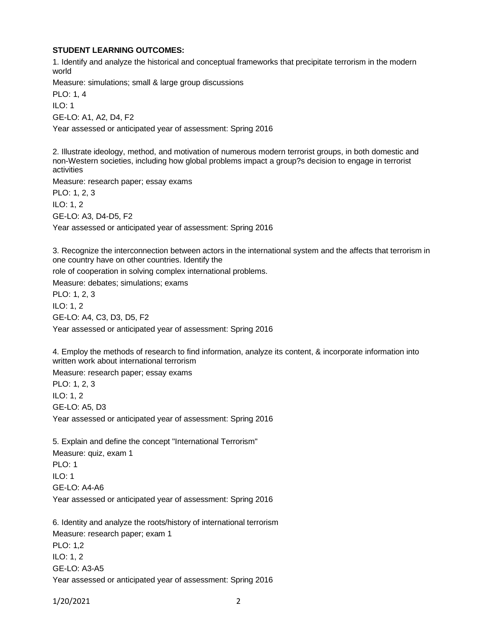### **STUDENT LEARNING OUTCOMES:**

1. Identify and analyze the historical and conceptual frameworks that precipitate terrorism in the modern world

Measure: simulations; small & large group discussions

PLO: 1, 4 ILO: 1 GE-LO: A1, A2, D4, F2

Year assessed or anticipated year of assessment: Spring 2016

2. Illustrate ideology, method, and motivation of numerous modern terrorist groups, in both domestic and non-Western societies, including how global problems impact a group?s decision to engage in terrorist activities

Measure: research paper; essay exams

PLO: 1, 2, 3 ILO: 1, 2

GE-LO: A3, D4-D5, F2

Year assessed or anticipated year of assessment: Spring 2016

3. Recognize the interconnection between actors in the international system and the affects that terrorism in one country have on other countries. Identify the

role of cooperation in solving complex international problems.

Measure: debates; simulations; exams

PLO: 1, 2, 3 ILO: 1, 2 GE-LO: A4, C3, D3, D5, F2 Year assessed or anticipated year of assessment: Spring 2016

4. Employ the methods of research to find information, analyze its content, & incorporate information into written work about international terrorism

Measure: research paper; essay exams PLO: 1, 2, 3 ILO: 1, 2 GE-LO: A5, D3 Year assessed or anticipated year of assessment: Spring 2016

5. Explain and define the concept "International Terrorism" Measure: quiz, exam 1 PLO: 1 ILO: 1 GE-LO: A4-A6 Year assessed or anticipated year of assessment: Spring 2016

6. Identity and analyze the roots/history of international terrorism Measure: research paper; exam 1 PLO: 1,2 ILO: 1, 2 GE-LO: A3-A5 Year assessed or anticipated year of assessment: Spring 2016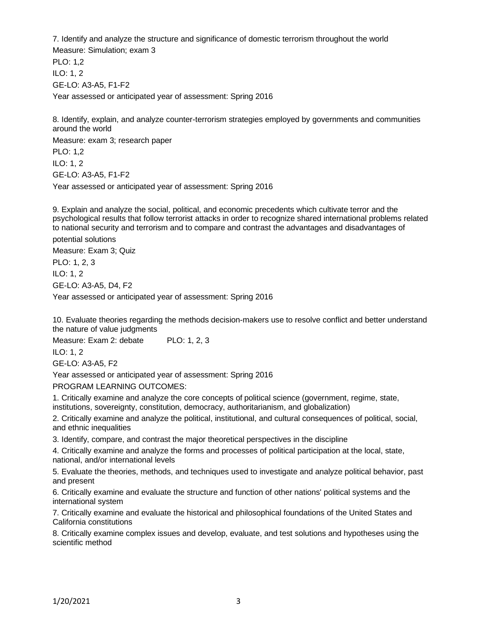7. Identify and analyze the structure and significance of domestic terrorism throughout the world Measure: Simulation; exam 3

PLO: 1,2 ILO: 1, 2 GE-LO: A3-A5, F1-F2

Year assessed or anticipated year of assessment: Spring 2016

8. Identify, explain, and analyze counter-terrorism strategies employed by governments and communities around the world

Measure: exam 3; research paper PLO: 1,2

ILO: 1, 2 GE-LO: A3-A5, F1-F2

Year assessed or anticipated year of assessment: Spring 2016

9. Explain and analyze the social, political, and economic precedents which cultivate terror and the psychological results that follow terrorist attacks in order to recognize shared international problems related to national security and terrorism and to compare and contrast the advantages and disadvantages of

potential solutions Measure: Exam 3; Quiz

PLO: 1, 2, 3 ILO: 1, 2 GE-LO: A3-A5, D4, F2 Year assessed or anticipated year of assessment: Spring 2016

10. Evaluate theories regarding the methods decision-makers use to resolve conflict and better understand the nature of value judgments

Measure: Exam 2: debate PLO: 1, 2, 3

ILO: 1, 2

GE-LO: A3-A5, F2

Year assessed or anticipated year of assessment: Spring 2016

PROGRAM LEARNING OUTCOMES:

1. Critically examine and analyze the core concepts of political science (government, regime, state, institutions, sovereignty, constitution, democracy, authoritarianism, and globalization)

2. Critically examine and analyze the political, institutional, and cultural consequences of political, social, and ethnic inequalities

3. Identify, compare, and contrast the major theoretical perspectives in the discipline

4. Critically examine and analyze the forms and processes of political participation at the local, state, national, and/or international levels

5. Evaluate the theories, methods, and techniques used to investigate and analyze political behavior, past and present

6. Critically examine and evaluate the structure and function of other nations' political systems and the international system

7. Critically examine and evaluate the historical and philosophical foundations of the United States and California constitutions

8. Critically examine complex issues and develop, evaluate, and test solutions and hypotheses using the scientific method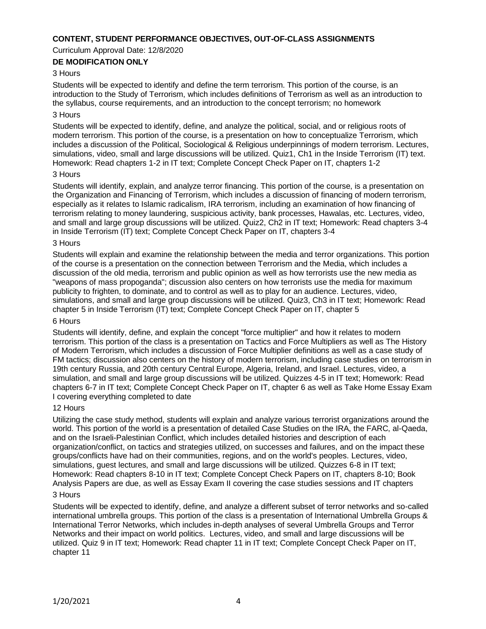## **CONTENT, STUDENT PERFORMANCE OBJECTIVES, OUT-OF-CLASS ASSIGNMENTS**

Curriculum Approval Date: 12/8/2020

# **DE MODIFICATION ONLY**

## 3 Hours

Students will be expected to identify and define the term terrorism. This portion of the course, is an introduction to the Study of Terrorism, which includes definitions of Terrorism as well as an introduction to the syllabus, course requirements, and an introduction to the concept terrorism; no homework

### 3 Hours

Students will be expected to identify, define, and analyze the political, social, and or religious roots of modern terrorism. This portion of the course, is a presentation on how to conceptualize Terrorism, which includes a discussion of the Political, Sociological & Religious underpinnings of modern terrorism. Lectures, simulations, video, small and large discussions will be utilized. Quiz1, Ch1 in the Inside Terrorism (IT) text. Homework: Read chapters 1-2 in IT text; Complete Concept Check Paper on IT, chapters 1-2

#### 3 Hours

Students will identify, explain, and analyze terror financing. This portion of the course, is a presentation on the Organization and Financing of Terrorism, which includes a discussion of financing of modern terrorism, especially as it relates to Islamic radicalism, IRA terrorism, including an examination of how financing of terrorism relating to money laundering, suspicious activity, bank processes, Hawalas, etc. Lectures, video, and small and large group discussions will be utilized. Quiz2, Ch2 in IT text; Homework: Read chapters 3-4 in Inside Terrorism (IT) text; Complete Concept Check Paper on IT, chapters 3-4

#### 3 Hours

Students will explain and examine the relationship between the media and terror organizations. This portion of the course is a presentation on the connection between Terrorism and the Media, which includes a discussion of the old media, terrorism and public opinion as well as how terrorists use the new media as "weapons of mass propoganda"; discussion also centers on how terrorists use the media for maximum publicity to frighten, to dominate, and to control as well as to play for an audience. Lectures, video, simulations, and small and large group discussions will be utilized. Quiz3, Ch3 in IT text; Homework: Read chapter 5 in Inside Terrorism (IT) text; Complete Concept Check Paper on IT, chapter 5

### 6 Hours

Students will identify, define, and explain the concept "force multiplier" and how it relates to modern terrorism. This portion of the class is a presentation on Tactics and Force Multipliers as well as The History of Modern Terrorism, which includes a discussion of Force Multiplier definitions as well as a case study of FM tactics; discussion also centers on the history of modern terrorism, including case studies on terrorism in 19th century Russia, and 20th century Central Europe, Algeria, Ireland, and Israel. Lectures, video, a simulation, and small and large group discussions will be utilized. Quizzes 4-5 in IT text; Homework: Read chapters 6-7 in IT text; Complete Concept Check Paper on IT, chapter 6 as well as Take Home Essay Exam I covering everything completed to date

### 12 Hours

Utilizing the case study method, students will explain and analyze various terrorist organizations around the world. This portion of the world is a presentation of detailed Case Studies on the IRA, the FARC, al-Qaeda, and on the Israeli-Palestinian Conflict, which includes detailed histories and description of each organization/conflict, on tactics and strategies utilized, on successes and failures, and on the impact these groups/conflicts have had on their communities, regions, and on the world's peoples. Lectures, video, simulations, guest lectures, and small and large discussions will be utilized. Quizzes 6-8 in IT text; Homework: Read chapters 8-10 in IT text; Complete Concept Check Papers on IT, chapters 8-10; Book Analysis Papers are due, as well as Essay Exam II covering the case studies sessions and IT chapters

### 3 Hours

Students will be expected to identify, define, and analyze a different subset of terror networks and so-called international umbrella groups. This portion of the class is a presentation of International Umbrella Groups & International Terror Networks, which includes in-depth analyses of several Umbrella Groups and Terror Networks and their impact on world politics. Lectures, video, and small and large discussions will be utilized. Quiz 9 in IT text; Homework: Read chapter 11 in IT text; Complete Concept Check Paper on IT, chapter 11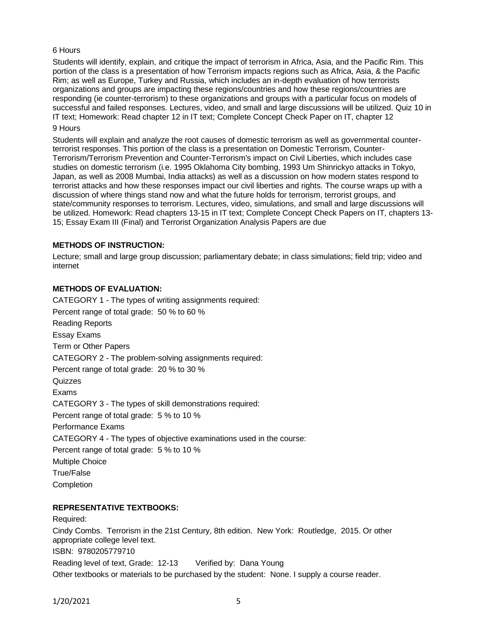## 6 Hours

Students will identify, explain, and critique the impact of terrorism in Africa, Asia, and the Pacific Rim. This portion of the class is a presentation of how Terrorism impacts regions such as Africa, Asia, & the Pacific Rim; as well as Europe, Turkey and Russia, which includes an in-depth evaluation of how terrorists organizations and groups are impacting these regions/countries and how these regions/countries are responding (ie counter-terrorism) to these organizations and groups with a particular focus on models of successful and failed responses. Lectures, video, and small and large discussions will be utilized. Quiz 10 in IT text; Homework: Read chapter 12 in IT text; Complete Concept Check Paper on IT, chapter 12 9 Hours

Students will explain and analyze the root causes of domestic terrorism as well as governmental counterterrorist responses. This portion of the class is a presentation on Domestic Terrorism, Counter-Terrorism/Terrorism Prevention and Counter-Terrorism's impact on Civil Liberties, which includes case studies on domestic terrorism (i.e. 1995 Oklahoma City bombing, 1993 Um Shinrickyo attacks in Tokyo, Japan, as well as 2008 Mumbai, India attacks) as well as a discussion on how modern states respond to terrorist attacks and how these responses impact our civil liberties and rights. The course wraps up with a discussion of where things stand now and what the future holds for terrorism, terrorist groups, and state/community responses to terrorism. Lectures, video, simulations, and small and large discussions will be utilized. Homework: Read chapters 13-15 in IT text; Complete Concept Check Papers on IT, chapters 13- 15; Essay Exam III (Final) and Terrorist Organization Analysis Papers are due

## **METHODS OF INSTRUCTION:**

Lecture; small and large group discussion; parliamentary debate; in class simulations; field trip; video and internet

## **METHODS OF EVALUATION:**

CATEGORY 1 - The types of writing assignments required: Percent range of total grade: 50 % to 60 % Reading Reports Essay Exams Term or Other Papers CATEGORY 2 - The problem-solving assignments required: Percent range of total grade: 20 % to 30 % **Quizzes** Exams CATEGORY 3 - The types of skill demonstrations required: Percent range of total grade: 5 % to 10 % Performance Exams CATEGORY 4 - The types of objective examinations used in the course: Percent range of total grade: 5 % to 10 % Multiple Choice True/False **Completion** 

## **REPRESENTATIVE TEXTBOOKS:**

Required: Cindy Combs. Terrorism in the 21st Century, 8th edition. New York: Routledge, 2015. Or other appropriate college level text. ISBN: 9780205779710 Reading level of text, Grade: 12-13 Verified by: Dana Young Other textbooks or materials to be purchased by the student: None. I supply a course reader.